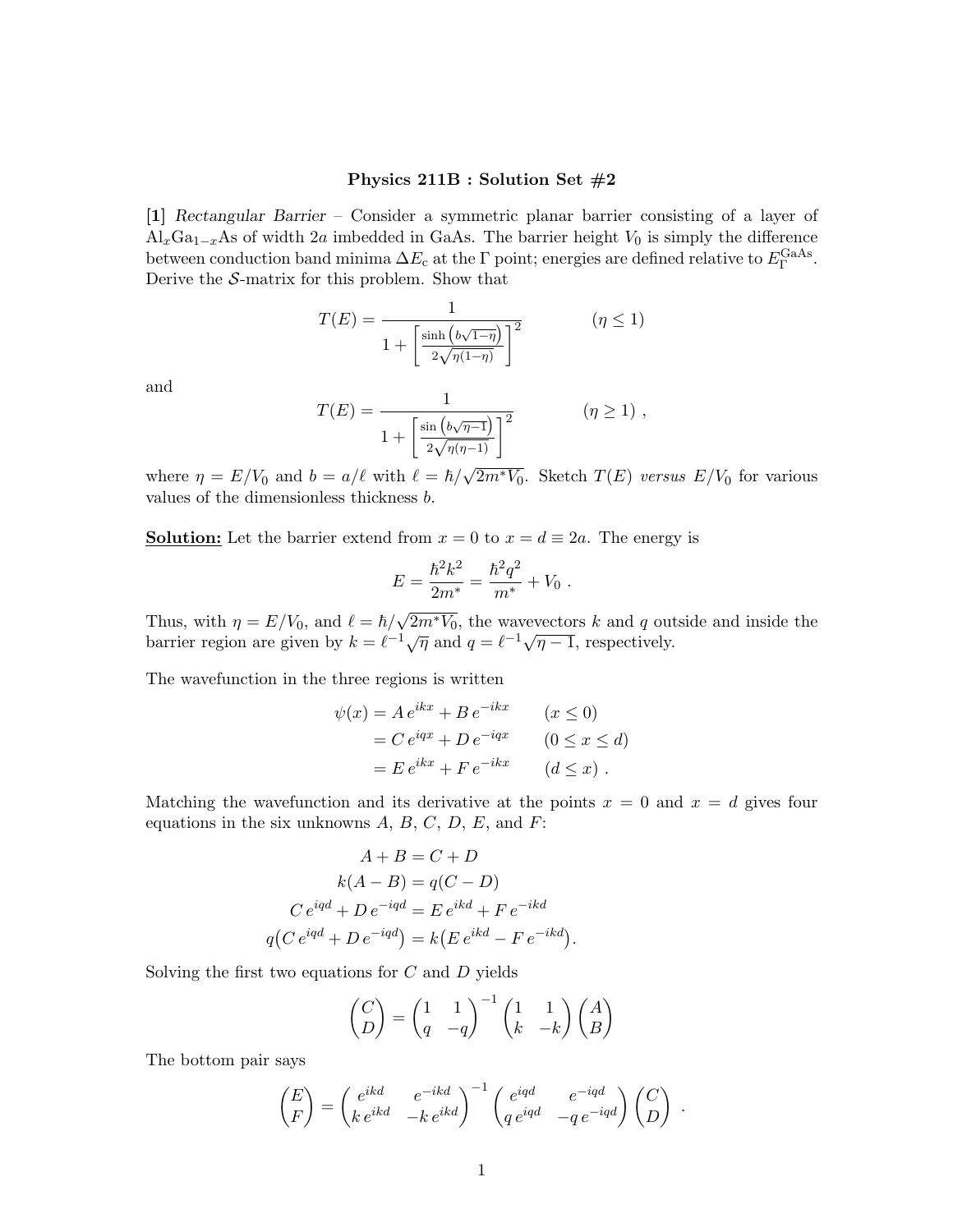## Physics 211B : Solution Set #2

[1] Rectangular Barrier – Consider a symmetric planar barrier consisting of a layer of  $\text{Al}_x\text{Ga}_{1-x}\text{As}$  of width 2a imbedded in GaAs. The barrier height  $V_0$  is simply the difference between conduction band minima  $\Delta E_c$  at the  $\Gamma$  point; energies are defined relative to  $E_{\Gamma}^{\text{GaAs}}$ . Derive the  $S$ -matrix for this problem. Show that

$$
T(E) = \frac{1}{1 + \left[\frac{\sinh\left(b\sqrt{1-\eta}\right)}{2\sqrt{\eta(1-\eta)}}\right]^2} \qquad (\eta \le 1)
$$

and

$$
T(E) = \frac{1}{1 + \left[\frac{\sin((b\sqrt{\eta - 1})}{2\sqrt{\eta(\eta - 1})}\right]^2} \quad (\eta \ge 1) ,
$$

where  $\eta = E/V_0$  and  $b = a/\ell$  with  $\ell = \hbar / \sqrt{2m^*V_0}$ . Sketch  $T(E)$  versus  $E/V_0$  for various values of the dimensionless thickness b.

**Solution:** Let the barrier extend from  $x = 0$  to  $x = d \equiv 2a$ . The energy is

$$
E = \frac{\hbar^2 k^2}{2m^*} = \frac{\hbar^2 q^2}{m^*} + V_0.
$$

Thus, with  $\eta = E/V_0$ , and  $\ell = \hbar / \sqrt{2m^*V_0}$ , the wavevectors k and q outside and inside the barrier region are given by  $k = \ell^{-1}\sqrt{\eta}$  and  $q = \ell^{-1}\sqrt{\eta-1}$ , respectively.

The wavefunction in the three regions is written

$$
\psi(x) = A e^{ikx} + B e^{-ikx} \qquad (x \le 0)
$$
  
=  $C e^{iqx} + D e^{-iqx} \qquad (0 \le x \le d)$   
=  $E e^{ikx} + F e^{-ikx} \qquad (d \le x)$ .

Matching the wavefunction and its derivative at the points  $x = 0$  and  $x = d$  gives four equations in the six unknowns  $A, B, C, D, E$ , and  $F$ :

$$
A + B = C + D
$$

$$
k(A - B) = q(C - D)
$$

$$
C e^{iqd} + D e^{-iqd} = E e^{ikd} + F e^{-ikd}
$$

$$
q(C e^{iqd} + D e^{-iqd}) = k(E e^{ikd} - F e^{-ikd}).
$$

Solving the first two equations for  $C$  and  $D$  yields

$$
\begin{pmatrix} C \\ D \end{pmatrix} = \begin{pmatrix} 1 & 1 \\ q & -q \end{pmatrix}^{-1} \begin{pmatrix} 1 & 1 \\ k & -k \end{pmatrix} \begin{pmatrix} A \\ B \end{pmatrix}
$$

The bottom pair says

$$
\begin{pmatrix} E \\ F \end{pmatrix} = \begin{pmatrix} e^{ikd} & e^{-ikd} \\ ke^{ikd} & -ke^{ikd} \end{pmatrix}^{-1} \begin{pmatrix} e^{iqd} & e^{-iqd} \\ q e^{iqd} & -qe^{-iqd} \end{pmatrix} \begin{pmatrix} C \\ D \end{pmatrix}.
$$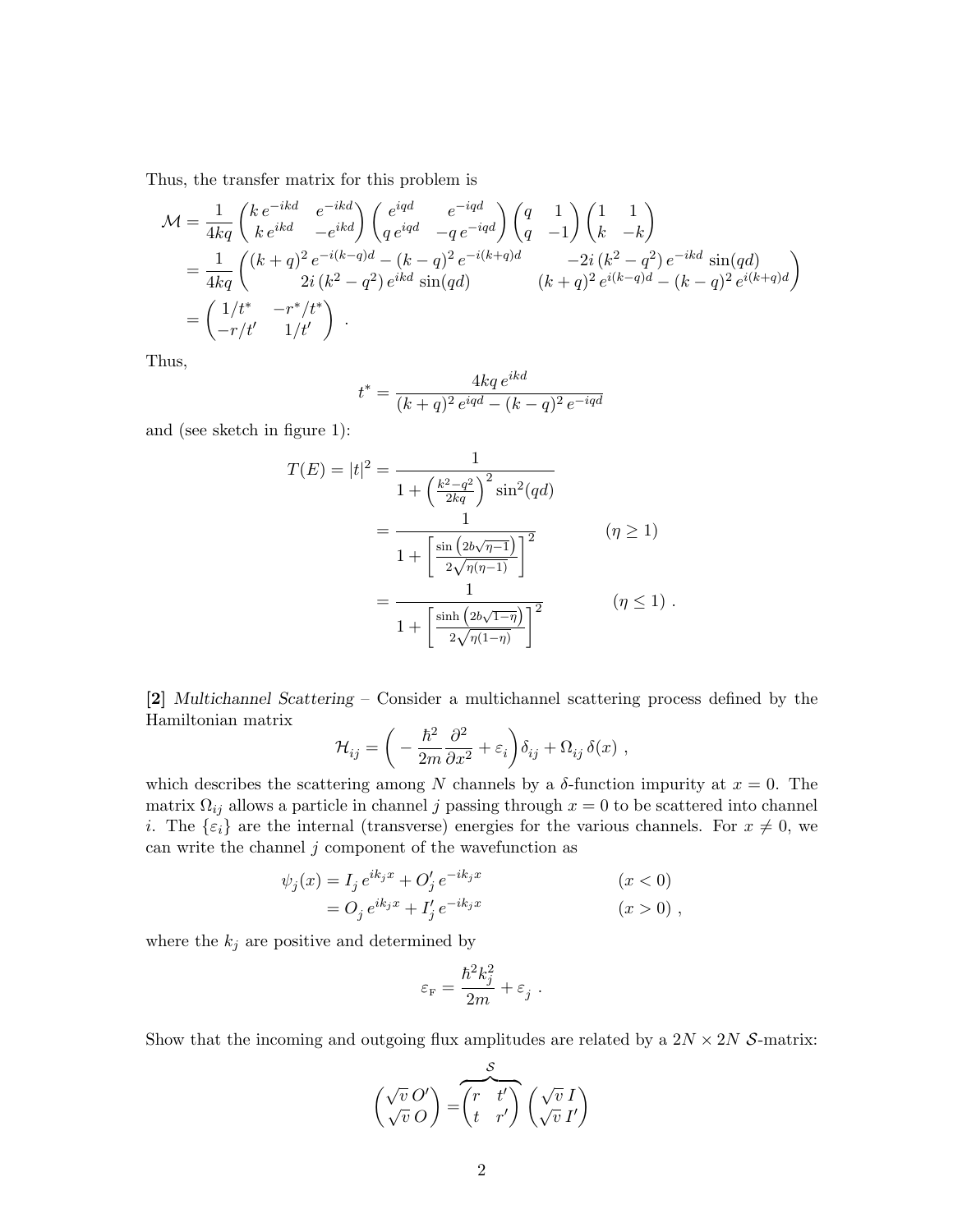Thus, the transfer matrix for this problem is

$$
\mathcal{M} = \frac{1}{4kq} \begin{pmatrix} k e^{-ikd} & e^{-ikd} \\ k e^{ikd} & -e^{ikd} \end{pmatrix} \begin{pmatrix} e^{iqd} & e^{-iqd} \\ q e^{iqd} & -q e^{-iqd} \end{pmatrix} \begin{pmatrix} q & 1 \\ q & -1 \end{pmatrix} \begin{pmatrix} 1 & 1 \\ k & -k \end{pmatrix}
$$
  
= 
$$
\frac{1}{4kq} \begin{pmatrix} (k+q)^2 e^{-i(k-q)d} - (k-q)^2 e^{-i(k+q)d} & -2i (k^2 - q^2) e^{-ikd} \sin(qd) \\ 2i (k^2 - q^2) e^{ikd} \sin(qd) & (k+q)^2 e^{i(k-q)d} - (k-q)^2 e^{i(k+q)d} \end{pmatrix}
$$
  
= 
$$
\begin{pmatrix} 1/t^* & -r^*/t^* \\ -r/t' & 1/t' \end{pmatrix}.
$$

Thus,

$$
t^* = \frac{4kq e^{ikd}}{(k+q)^2 e^{iqd} - (k-q)^2 e^{-iqd}}
$$

and (see sketch in figure 1):

$$
T(E) = |t|^2 = \frac{1}{1 + \left(\frac{k^2 - q^2}{2kq}\right)^2 \sin^2(qd)} \\
= \frac{1}{1 + \left[\frac{\sin(2b\sqrt{\eta - 1})}{2\sqrt{\eta(\eta - 1)}}\right]^2} \qquad (\eta \ge 1) \\
= \frac{1}{1 + \left[\frac{\sin(2b\sqrt{1 - \eta})}{2\sqrt{\eta(1 - \eta)}}\right]^2} \qquad (\eta \le 1) .
$$

[2] Multichannel Scattering – Consider a multichannel scattering process defined by the Hamiltonian matrix

$$
\mathcal{H}_{ij} = \bigg(-\frac{\hbar^2}{2m}\frac{\partial^2}{\partial x^2} + \varepsilon_i\bigg)\delta_{ij} + \Omega_{ij}\,\delta(x) \ ,
$$

which describes the scattering among N channels by a  $\delta$ -function impurity at  $x = 0$ . The matrix  $\Omega_{ij}$  allows a particle in channel j passing through  $x = 0$  to be scattered into channel *i*. The  $\{\varepsilon_i\}$  are the internal (transverse) energies for the various channels. For  $x \neq 0$ , we can write the channel  $j$  component of the wavefunction as

$$
\psi_j(x) = I_j e^{ik_j x} + O'_j e^{-ik_j x} \qquad (x < 0)
$$
  
=  $O_j e^{ik_j x} + I'_j e^{-ik_j x} \qquad (x > 0) ,$ 

where the  $k_j$  are positive and determined by

$$
\varepsilon_{\rm F} = \frac{\hbar^2 k_j^2}{2m} + \varepsilon_j \ .
$$

Show that the incoming and outgoing flux amplitudes are related by a  $2N \times 2N$  S-matrix:

$$
\begin{pmatrix}\n\sqrt{v} O' \\
\sqrt{v} O\n\end{pmatrix} =\n\begin{pmatrix}\n\overline{r} & t' \\
t & r'\n\end{pmatrix}\n\begin{pmatrix}\n\sqrt{v} I \\
\sqrt{v} I'\n\end{pmatrix}
$$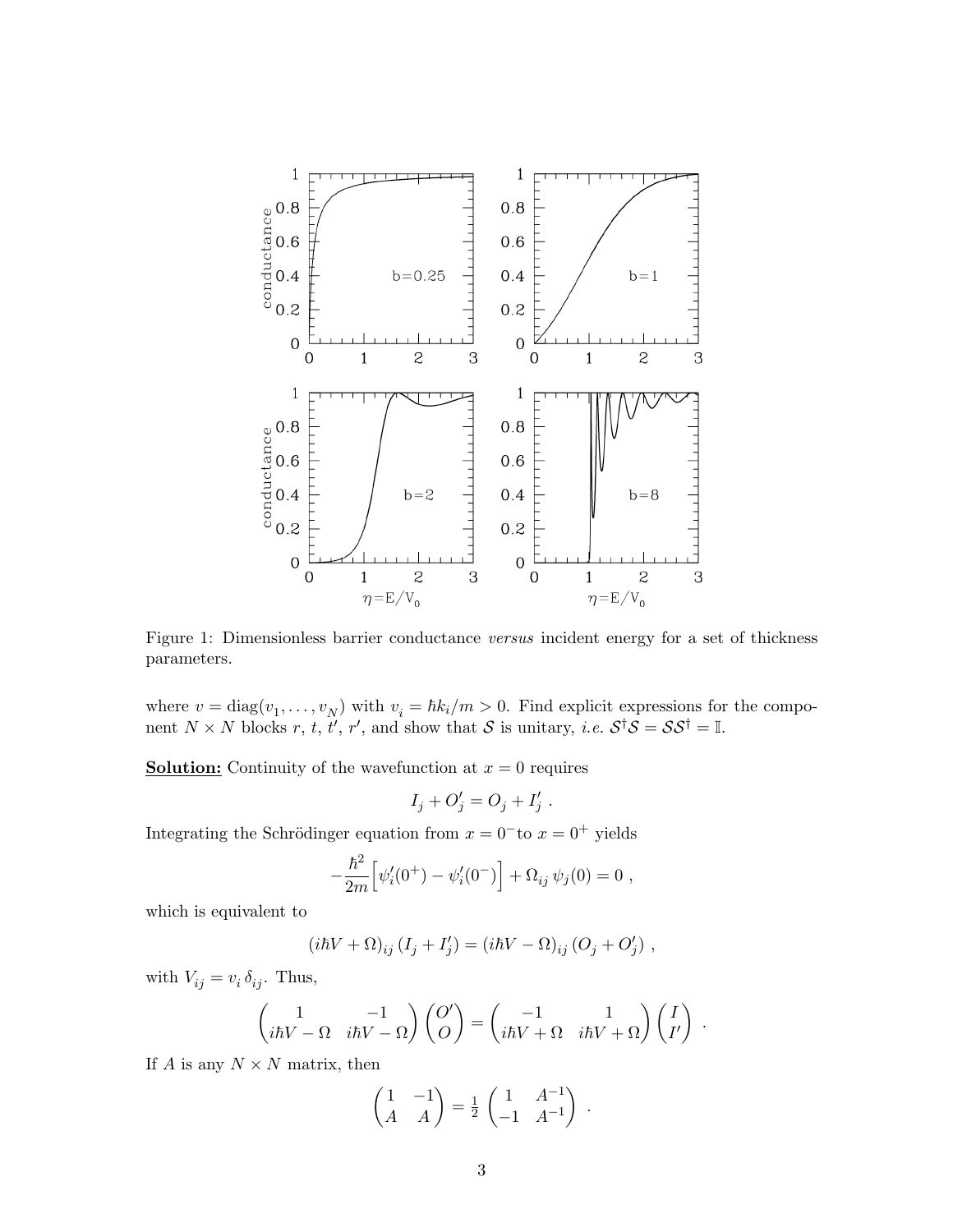

Figure 1: Dimensionless barrier conductance versus incident energy for a set of thickness parameters.

where  $v = diag(v_1, \ldots, v_N)$  with  $v_i = \hbar k_i/m > 0$ . Find explicit expressions for the component  $N \times N$  blocks  $r, t, t', r'$ , and show that S is unitary, *i.e.*  $S^{\dagger}S = SS^{\dagger} = \mathbb{I}$ .

**Solution:** Continuity of the wavefunction at  $x = 0$  requires

$$
I_j + O'_j = O_j + I'_j.
$$

Integrating the Schrödinger equation from  $x = 0^-$  to  $x = 0^+$  yields

$$
-\frac{\hbar^2}{2m}\Big[\psi_i'(0^+) - \psi_i'(0^-)\Big] + \Omega_{ij}\,\psi_j(0) = 0 ,
$$

which is equivalent to

$$
(i\hbar V + \Omega)_{ij} (I_j + I'_j) = (i\hbar V - \Omega)_{ij} (O_j + O'_j) ,
$$

with  $V_{ij} = v_i \, \delta_{ij}$ . Thus,

$$
\begin{pmatrix} 1 & -1 \ i\hbar V - \Omega & i\hbar V - \Omega \end{pmatrix} \begin{pmatrix} O' \\ O \end{pmatrix} = \begin{pmatrix} -1 & 1 \\ i\hbar V + \Omega & i\hbar V + \Omega \end{pmatrix} \begin{pmatrix} I \\ I' \end{pmatrix} .
$$

If A is any  $N \times N$  matrix, then

$$
\begin{pmatrix} 1 & -1 \ A & A \end{pmatrix} = \frac{1}{2} \begin{pmatrix} 1 & A^{-1} \\ -1 & A^{-1} \end{pmatrix} .
$$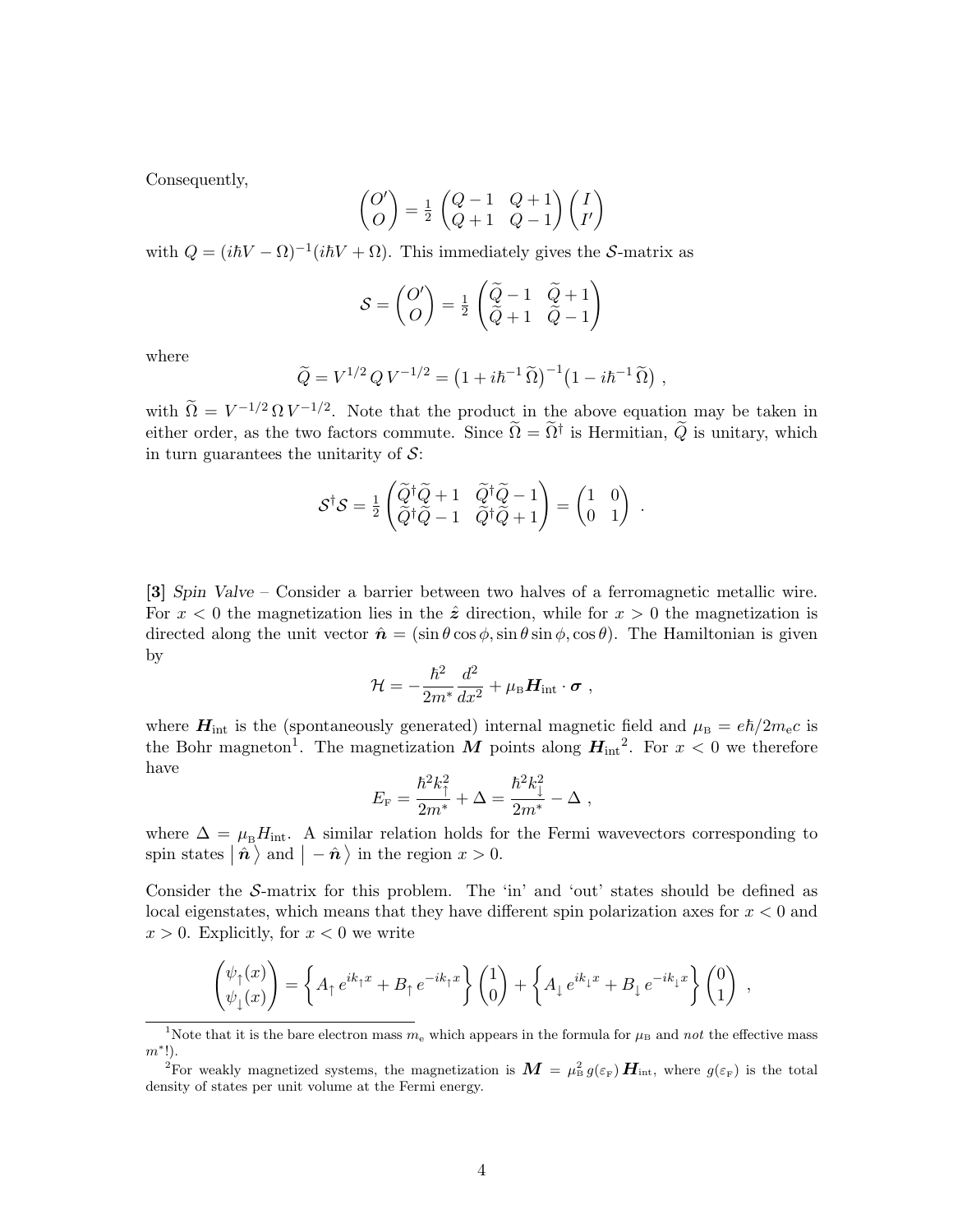Consequently,

$$
\begin{pmatrix} O' \\ O \end{pmatrix} = \frac{1}{2} \begin{pmatrix} Q-1 & Q+1 \\ Q+1 & Q-1 \end{pmatrix} \begin{pmatrix} I \\ I' \end{pmatrix}
$$

with  $Q = (i\hbar V - \Omega)^{-1}(i\hbar V + \Omega)$ . This immediately gives the S-matrix as

$$
S = \begin{pmatrix} O' \\ O \end{pmatrix} = \frac{1}{2} \begin{pmatrix} \widetilde{Q} - 1 & \widetilde{Q} + 1 \\ \widetilde{Q} + 1 & \widetilde{Q} - 1 \end{pmatrix}
$$

where

$$
\widetilde{Q} = V^{1/2} Q V^{-1/2} = (1 + i\hbar^{-1} \widetilde{\Omega})^{-1} (1 - i\hbar^{-1} \widetilde{\Omega}) ,
$$

with  $\widetilde{\Omega} = V^{-1/2} \Omega V^{-1/2}$ . Note that the product in the above equation may be taken in either order, as the two factors commute. Since  $\widetilde{\Omega} = \widetilde{\Omega}^{\dagger}$  is Hermitian,  $\widetilde{Q}$  is unitary, which in turn guarantees the unitarity of  $S$ :

$$
\mathcal{S}^{\dagger} \mathcal{S} = \frac{1}{2} \begin{pmatrix} \widetilde{Q}^{\dagger} \widetilde{Q} + 1 & \widetilde{Q}^{\dagger} \widetilde{Q} - 1 \\ \widetilde{Q}^{\dagger} \widetilde{Q} - 1 & \widetilde{Q}^{\dagger} \widetilde{Q} + 1 \end{pmatrix} = \begin{pmatrix} 1 & 0 \\ 0 & 1 \end{pmatrix}.
$$

[3] Spin Valve – Consider a barrier between two halves of a ferromagnetic metallic wire. For  $x < 0$  the magnetization lies in the  $\hat{z}$  direction, while for  $x > 0$  the magnetization is directed along the unit vector  $\hat{\mathbf{n}} = (\sin \theta \cos \phi, \sin \theta \sin \phi, \cos \theta)$ . The Hamiltonian is given by

$$
\mathcal{H} = -\frac{\hbar^2}{2m^*}\frac{d^2}{dx^2} + \mu_\mathrm{B}\boldsymbol{H}_{\rm int}\cdot\boldsymbol{\sigma}\ ,
$$

where  $H_{\text{int}}$  is the (spontaneously generated) internal magnetic field and  $\mu_{\text{B}} = e\hbar/2m_{\text{e}}c$  is the Bohr magneton<sup>1</sup>. The magnetization M points along  $H_{int}^2$ . For  $x < 0$  we therefore have

$$
E_{\rm F}=\frac{\hbar^2 k_\uparrow^2}{2m^*}+\Delta=\frac{\hbar^2 k_\downarrow^2}{2m^*}-\Delta\ ,
$$

where  $\Delta = \mu_{\rm B}H_{\rm int}$ . A similar relation holds for the Fermi wavevectors corresponding to spin states  $\vert \hat{\boldsymbol{n}} \rangle$  and  $\vert -\hat{\boldsymbol{n}} \rangle$  in the region  $x > 0$ .

Consider the S-matrix for this problem. The 'in' and 'out' states should be defined as local eigenstates, which means that they have different spin polarization axes for  $x < 0$  and  $x > 0$ . Explicitly, for  $x < 0$  we write

$$
\begin{pmatrix} \psi_{\uparrow}(x) \\ \psi_{\downarrow}(x) \end{pmatrix} = \left\{ A_{\uparrow} e^{ik_{\uparrow}x} + B_{\uparrow} e^{-ik_{\uparrow}x} \right\} \begin{pmatrix} 1 \\ 0 \end{pmatrix} + \left\{ A_{\downarrow} e^{ik_{\downarrow}x} + B_{\downarrow} e^{-ik_{\downarrow}x} \right\} \begin{pmatrix} 0 \\ 1 \end{pmatrix} ,
$$

<sup>&</sup>lt;sup>1</sup>Note that it is the bare electron mass  $m_e$  which appears in the formula for  $\mu_B$  and not the effective mass  $m^*!$ ).

<sup>&</sup>lt;sup>2</sup>For weakly magnetized systems, the magnetization is  $\bm{M} = \mu_B^2 g(\varepsilon_F) \bm{H}_{\text{int}}$ , where  $g(\varepsilon_F)$  is the total density of states per unit volume at the Fermi energy.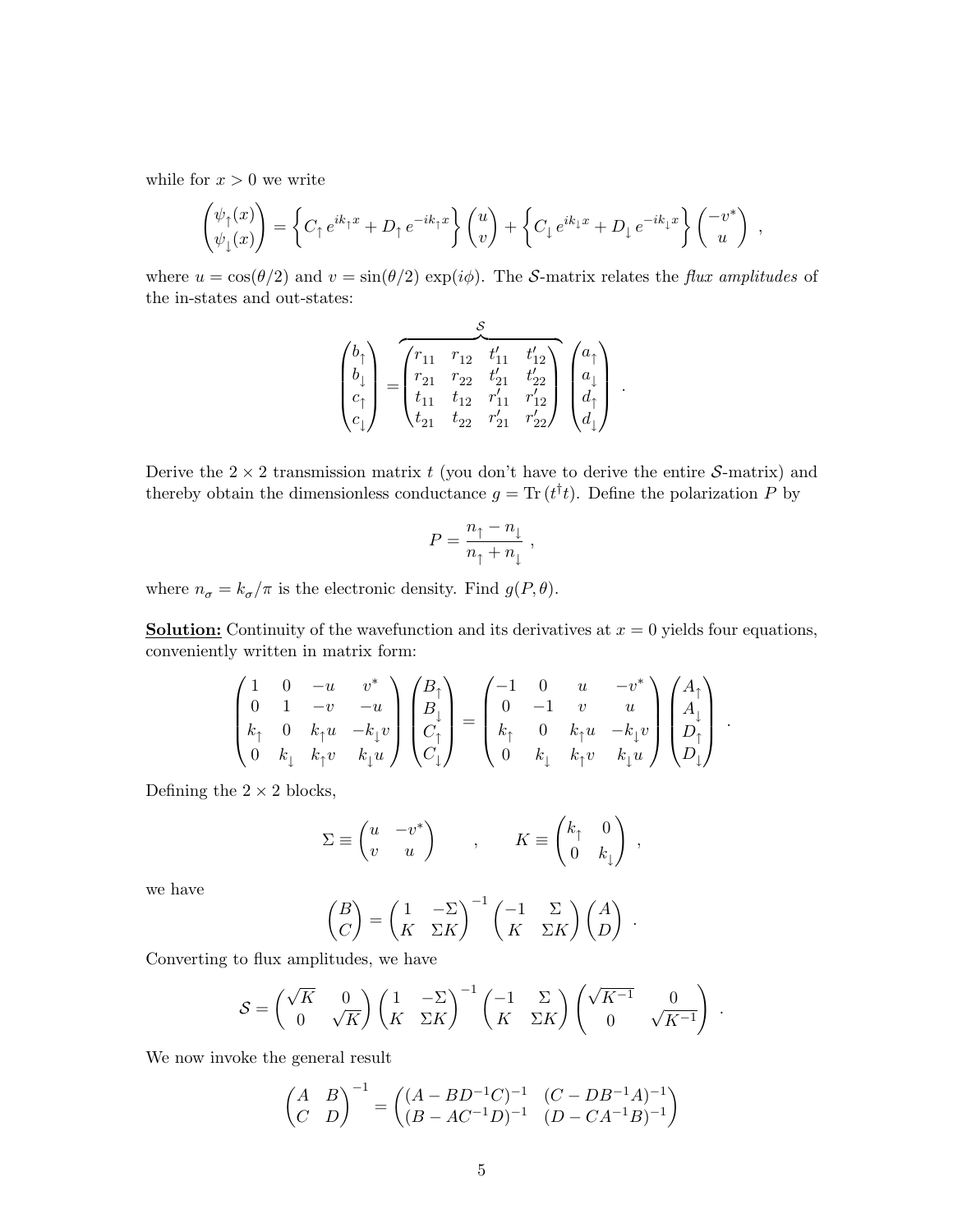while for  $x > 0$  we write

$$
\begin{pmatrix} \psi_{\uparrow}(x) \\ \psi_{\downarrow}(x) \end{pmatrix} = \left\{ C_{\uparrow} e^{ik_{\uparrow}x} + D_{\uparrow} e^{-ik_{\uparrow}x} \right\} \begin{pmatrix} u \\ v \end{pmatrix} + \left\{ C_{\downarrow} e^{ik_{\downarrow}x} + D_{\downarrow} e^{-ik_{\downarrow}x} \right\} \begin{pmatrix} -v^* \\ u \end{pmatrix} ,
$$

where  $u = \cos(\theta/2)$  and  $v = \sin(\theta/2) \exp(i\phi)$ . The *S*-matrix relates the *flux amplitudes* of the in-states and out-states:

$$
\begin{pmatrix} b_{\uparrow} \\ b_{\downarrow} \\ c_{\uparrow} \\ c_{\downarrow} \end{pmatrix} = \begin{pmatrix} r_{11} & r_{12} & t'_{11} & t'_{12} \\ r_{21} & r_{22} & t'_{21} & t'_{22} \\ t_{11} & t_{12} & r'_{11} & r'_{12} \\ t_{21} & t_{22} & r'_{21} & r'_{22} \end{pmatrix} \begin{pmatrix} a_{\uparrow} \\ a_{\downarrow} \\ d_{\uparrow} \\ d_{\downarrow} \end{pmatrix} .
$$

Derive the  $2 \times 2$  transmission matrix t (you don't have to derive the entire S-matrix) and thereby obtain the dimensionless conductance  $g = \text{Tr}(t^{\dagger}t)$ . Define the polarization P by

$$
P = \frac{n_{\uparrow} - n_{\downarrow}}{n_{\uparrow} + n_{\downarrow}} ,
$$

where  $n_{\sigma} = k_{\sigma}/\pi$  is the electronic density. Find  $g(P, \theta)$ .

**Solution:** Continuity of the wavefunction and its derivatives at  $x = 0$  yields four equations, conveniently written in matrix form:

$$
\begin{pmatrix} 1 & 0 & -u & v^* \ 0 & 1 & -v & -u \ k_{\uparrow} & 0 & k_{\uparrow}u & -k_{\downarrow}v \ 0 & k_{\downarrow} & k_{\uparrow}v & k_{\downarrow}u \ \end{pmatrix} \begin{pmatrix} B_{\uparrow} \\ B_{\downarrow} \\ C_{\uparrow} \\ C_{\downarrow} \end{pmatrix} = \begin{pmatrix} -1 & 0 & u & -v^* \ 0 & -1 & v & u \ k_{\uparrow} & 0 & k_{\uparrow}u & -k_{\downarrow}v \ 0 & k_{\uparrow}u & -k_{\downarrow}v & k_{\downarrow}u \end{pmatrix} \begin{pmatrix} A_{\uparrow} \\ A_{\downarrow} \\ D_{\uparrow} \\ D_{\downarrow} \end{pmatrix}.
$$

Defining the  $2 \times 2$  blocks,

$$
\Sigma \equiv \begin{pmatrix} u & -v^* \\ v & u \end{pmatrix} , \qquad K \equiv \begin{pmatrix} k_{\uparrow} & 0 \\ 0 & k_{\downarrow} \end{pmatrix} ,
$$

we have

$$
\begin{pmatrix} B \\ C \end{pmatrix} = \begin{pmatrix} 1 & -\Sigma \\ K & \Sigma K \end{pmatrix}^{-1} \begin{pmatrix} -1 & \Sigma \\ K & \Sigma K \end{pmatrix} \begin{pmatrix} A \\ D \end{pmatrix} .
$$

Converting to flux amplitudes, we have

$$
S = \begin{pmatrix} \sqrt{K} & 0 \\ 0 & \sqrt{K} \end{pmatrix} \begin{pmatrix} 1 & -\Sigma \\ K & \Sigma K \end{pmatrix}^{-1} \begin{pmatrix} -1 & \Sigma \\ K & \Sigma K \end{pmatrix} \begin{pmatrix} \sqrt{K^{-1}} & 0 \\ 0 & \sqrt{K^{-1}} \end{pmatrix}.
$$

We now invoke the general result

$$
\begin{pmatrix} A & B \ C & D \end{pmatrix}^{-1} = \begin{pmatrix} (A - BD^{-1}C)^{-1} & (C - DB^{-1}A)^{-1} \\ (B - AC^{-1}D)^{-1} & (D - CA^{-1}B)^{-1} \end{pmatrix}
$$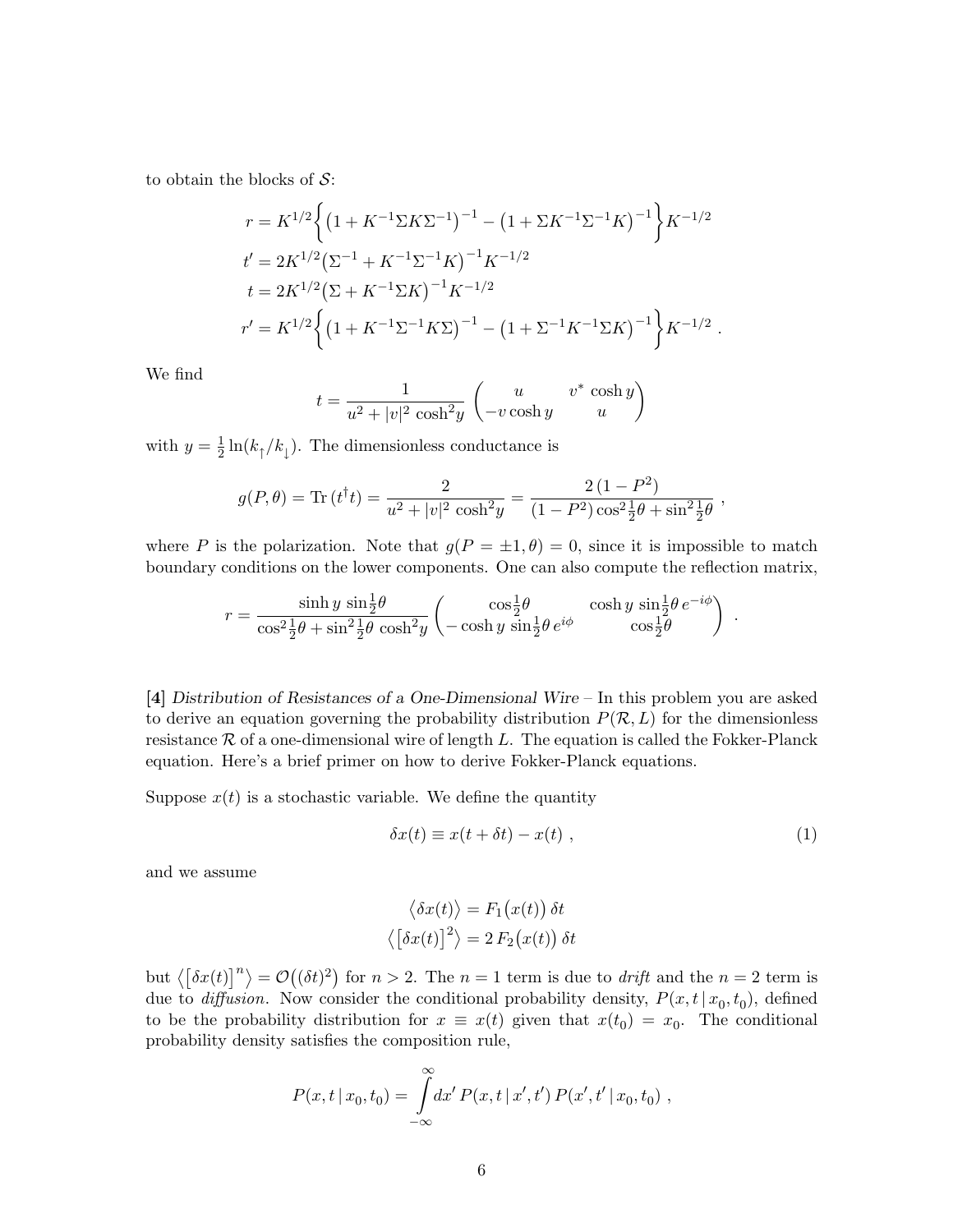to obtain the blocks of  $S$ :

$$
r = K^{1/2} \left\{ \left( 1 + K^{-1} \Sigma K \Sigma^{-1} \right)^{-1} - \left( 1 + \Sigma K^{-1} \Sigma^{-1} K \right)^{-1} \right\} K^{-1/2}
$$
  
\n
$$
t' = 2K^{1/2} \left( \Sigma^{-1} + K^{-1} \Sigma^{-1} K \right)^{-1} K^{-1/2}
$$
  
\n
$$
t = 2K^{1/2} \left( \Sigma + K^{-1} \Sigma K \right)^{-1} K^{-1/2}
$$
  
\n
$$
r' = K^{1/2} \left\{ \left( 1 + K^{-1} \Sigma^{-1} K \Sigma \right)^{-1} - \left( 1 + \Sigma^{-1} K^{-1} \Sigma K \right)^{-1} \right\} K^{-1/2}.
$$

We find

$$
t = \frac{1}{u^2 + |v|^2 \cosh^2 y} \begin{pmatrix} u & v^* \cosh y \\ -v \cosh y & u \end{pmatrix}
$$

with  $y=\frac{1}{2}$  $\frac{1}{2}\ln(k_{\uparrow}/k_{\downarrow})$ . The dimensionless conductance is

$$
g(P,\theta) = \text{Tr}(t^{\dagger}t) = \frac{2}{u^2 + |v|^2 \cosh^2 y} = \frac{2(1 - P^2)}{(1 - P^2)\cos^2 \frac{1}{2}\theta + \sin^2 \frac{1}{2}\theta},
$$

where P is the polarization. Note that  $g(P = \pm 1, \theta) = 0$ , since it is impossible to match boundary conditions on the lower components. One can also compute the reflection matrix,

$$
r = \frac{\sinh y \sin \frac{1}{2}\theta}{\cos^2 \frac{1}{2}\theta + \sin^2 \frac{1}{2}\theta \cosh^2 y} \begin{pmatrix} \cos \frac{1}{2}\theta & \cosh y \sin \frac{1}{2}\theta e^{-i\phi} \\ -\cosh y \sin \frac{1}{2}\theta e^{i\phi} & \cos \frac{1}{2}\theta \end{pmatrix}
$$

[4] Distribution of Resistances of a One-Dimensional Wire – In this problem you are asked to derive an equation governing the probability distribution  $P(\mathcal{R}, L)$  for the dimensionless resistance  $\mathcal R$  of a one-dimensional wire of length L. The equation is called the Fokker-Planck equation. Here's a brief primer on how to derive Fokker-Planck equations.

Suppose  $x(t)$  is a stochastic variable. We define the quantity

$$
\delta x(t) \equiv x(t + \delta t) - x(t) \tag{1}
$$

.

and we assume

$$
\langle \delta x(t) \rangle = F_1(x(t)) \, \delta t
$$

$$
\langle [\delta x(t)]^2 \rangle = 2 F_2(x(t)) \, \delta t
$$

but  $\langle [\delta x(t)]^n \rangle = O((\delta t)^2)$  for  $n > 2$ . The  $n = 1$  term is due to *drift* and the  $n = 2$  term is due to *diffusion*. Now consider the conditional probability density,  $P(x, t | x_0, t_0)$ , defined to be the probability distribution for  $x \equiv x(t)$  given that  $x(t_0) = x_0$ . The conditional probability density satisfies the composition rule,

$$
P(x,t\,|\,x_0,t_0) = \int_{-\infty}^{\infty} dx' P(x,t\,|\,x',t') P(x',t' \,|\, x_0,t_0) ,
$$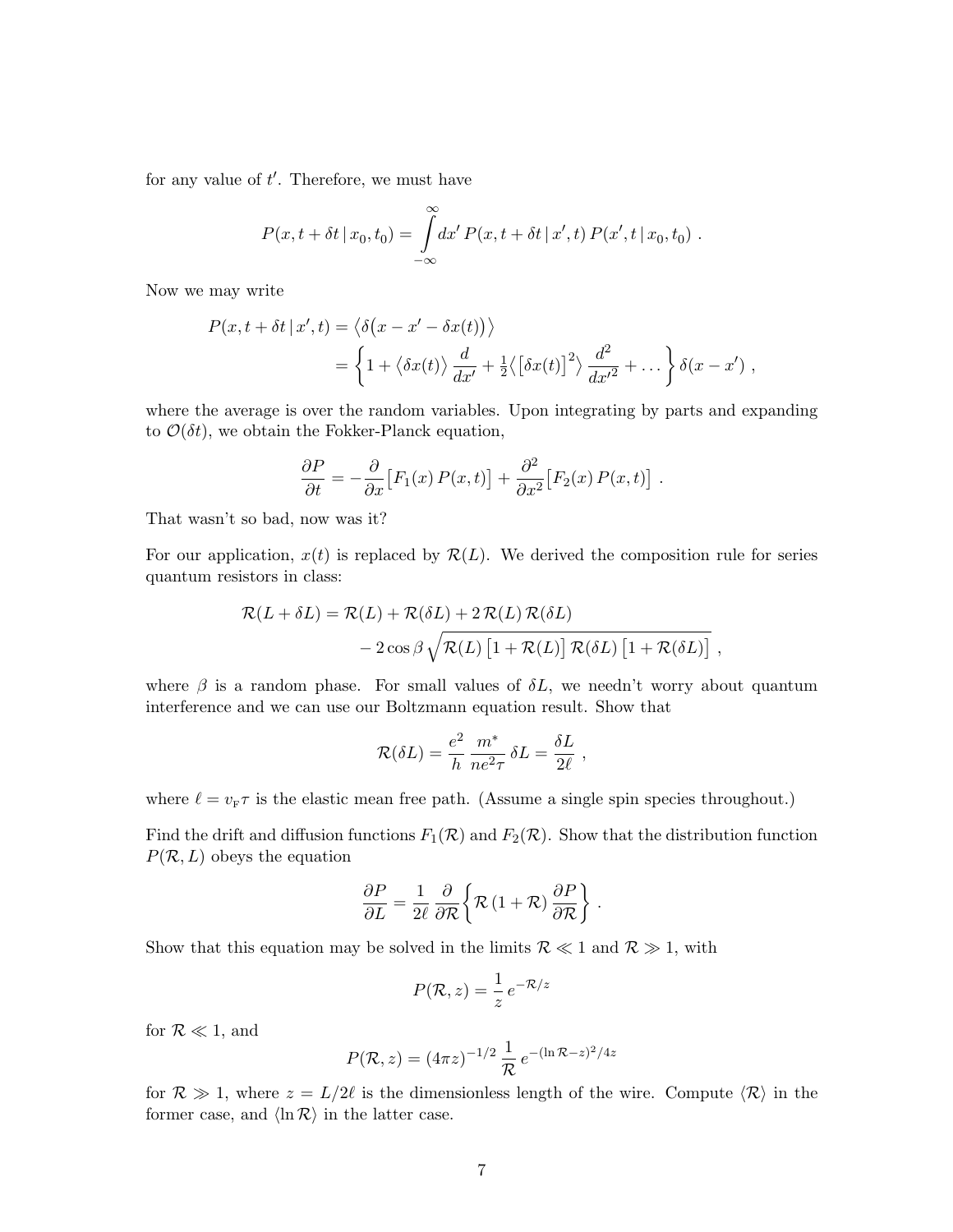for any value of  $t'$ . Therefore, we must have

$$
P(x, t + \delta t \,|\, x_0, t_0) = \int_{-\infty}^{\infty} dx' \, P(x, t + \delta t \,|\, x', t) \, P(x', t \,|\, x_0, t_0) \; .
$$

Now we may write

$$
P(x, t + \delta t | x', t) = \langle \delta(x - x' - \delta x(t)) \rangle
$$
  
= 
$$
\left\{ 1 + \langle \delta x(t) \rangle \frac{d}{dx'} + \frac{1}{2} \langle [\delta x(t)]^2 \rangle \frac{d^2}{dx'^2} + \dots \right\} \delta(x - x'),
$$

where the average is over the random variables. Upon integrating by parts and expanding to  $\mathcal{O}(\delta t)$ , we obtain the Fokker-Planck equation,

$$
\frac{\partial P}{\partial t} = -\frac{\partial}{\partial x} [F_1(x) P(x, t)] + \frac{\partial^2}{\partial x^2} [F_2(x) P(x, t)].
$$

That wasn't so bad, now was it?

For our application,  $x(t)$  is replaced by  $\mathcal{R}(L)$ . We derived the composition rule for series quantum resistors in class:

$$
\mathcal{R}(L + \delta L) = \mathcal{R}(L) + \mathcal{R}(\delta L) + 2 \mathcal{R}(L) \mathcal{R}(\delta L)
$$
  
- 2 cos  $\beta \sqrt{\mathcal{R}(L) [1 + \mathcal{R}(L)] \mathcal{R}(\delta L) [1 + \mathcal{R}(\delta L)]}$ ,

where  $\beta$  is a random phase. For small values of  $\delta L$ , we needn't worry about quantum interference and we can use our Boltzmann equation result. Show that

$$
\mathcal{R}(\delta L) = \frac{e^2}{h} \frac{m^*}{ne^2 \tau} \, \delta L = \frac{\delta L}{2\ell} \;,
$$

where  $\ell = v_{\text{F}}\tau$  is the elastic mean free path. (Assume a single spin species throughout.)

Find the drift and diffusion functions  $F_1(\mathcal{R})$  and  $F_2(\mathcal{R})$ . Show that the distribution function  $P(\mathcal{R}, L)$  obeys the equation

$$
\frac{\partial P}{\partial L} = \frac{1}{2\ell} \frac{\partial}{\partial \mathcal{R}} \left\{ \mathcal{R} \left( 1 + \mathcal{R} \right) \frac{\partial P}{\partial \mathcal{R}} \right\} .
$$

Show that this equation may be solved in the limits  $\mathcal{R} \ll 1$  and  $\mathcal{R} \gg 1$ , with

$$
P(\mathcal{R}, z) = \frac{1}{z} e^{-\mathcal{R}/z}
$$

for  $\mathcal{R} \ll 1$ , and

$$
P(\mathcal{R}, z) = (4\pi z)^{-1/2} \frac{1}{\mathcal{R}} e^{-(\ln \mathcal{R} - z)^2/4z}
$$

for  $\mathcal{R} \gg 1$ , where  $z = L/2\ell$  is the dimensionless length of the wire. Compute  $\langle \mathcal{R} \rangle$  in the former case, and  $\langle \ln \mathcal{R} \rangle$  in the latter case.